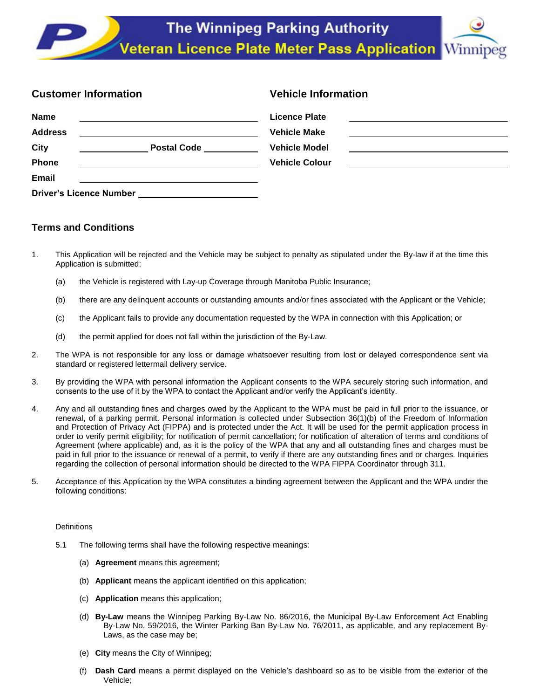| <b>Customer Information</b>    |                              | <b>Vehicle Information</b>                                                                                                                    |
|--------------------------------|------------------------------|-----------------------------------------------------------------------------------------------------------------------------------------------|
| <b>Name</b>                    |                              | <b>Licence Plate</b><br><u> 1986 - Johann Harry Harry Harry Harry Harry Harry Harry Harry Harry Harry Harry Harry Harry Harry Harry Harry</u> |
| <b>Address</b>                 |                              | <b>Vehicle Make</b>                                                                                                                           |
| City                           | <b>Postal Code Community</b> | <b>Vehicle Model</b>                                                                                                                          |
| Phone                          |                              | <b>Vehicle Colour</b><br><u> 1989 - Jan Samuel Alexandria, poeta establecidad en la provincia de la provincia de la provincia de la provi</u> |
| Email                          |                              |                                                                                                                                               |
| <b>Driver's Licence Number</b> |                              |                                                                                                                                               |

# **Terms and Conditions**

- 1. This Application will be rejected and the Vehicle may be subject to penalty as stipulated under the By-law if at the time this Application is submitted:
	- (a) the Vehicle is registered with Lay-up Coverage through Manitoba Public Insurance;
	- (b) there are any delinquent accounts or outstanding amounts and/or fines associated with the Applicant or the Vehicle;
	- (c) the Applicant fails to provide any documentation requested by the WPA in connection with this Application; or
	- (d) the permit applied for does not fall within the jurisdiction of the By-Law.
- 2. The WPA is not responsible for any loss or damage whatsoever resulting from lost or delayed correspondence sent via standard or registered lettermail delivery service.
- 3. By providing the WPA with personal information the Applicant consents to the WPA securely storing such information, and consents to the use of it by the WPA to contact the Applicant and/or verify the Applicant's identity.
- 4. Any and all outstanding fines and charges owed by the Applicant to the WPA must be paid in full prior to the issuance, or renewal, of a parking permit. Personal information is collected under Subsection 36(1)(b) of the Freedom of Information and Protection of Privacy Act (FIPPA) and is protected under the Act. It will be used for the permit application process in order to verify permit eligibility; for notification of permit cancellation; for notification of alteration of terms and conditions of Agreement (where applicable) and, as it is the policy of the WPA that any and all outstanding fines and charges must be paid in full prior to the issuance or renewal of a permit, to verify if there are any outstanding fines and or charges. Inquiries regarding the collection of personal information should be directed to the WPA FIPPA Coordinator through 311.
- 5. Acceptance of this Application by the WPA constitutes a binding agreement between the Applicant and the WPA under the following conditions:

## **Definitions**

- 5.1 The following terms shall have the following respective meanings:
	- (a) **Agreement** means this agreement;
	- (b) **Applicant** means the applicant identified on this application;
	- (c) **Application** means this application;
	- (d) **By-Law** means the Winnipeg Parking By-Law No. 86/2016, the Municipal By-Law Enforcement Act Enabling By-Law No. 59/2016, the Winter Parking Ban By-Law No. 76/2011, as applicable, and any replacement By-Laws, as the case may be;
	- (e) **City** means the City of Winnipeg;
	- (f) **Dash Card** means a permit displayed on the Vehicle's dashboard so as to be visible from the exterior of the Vehicle;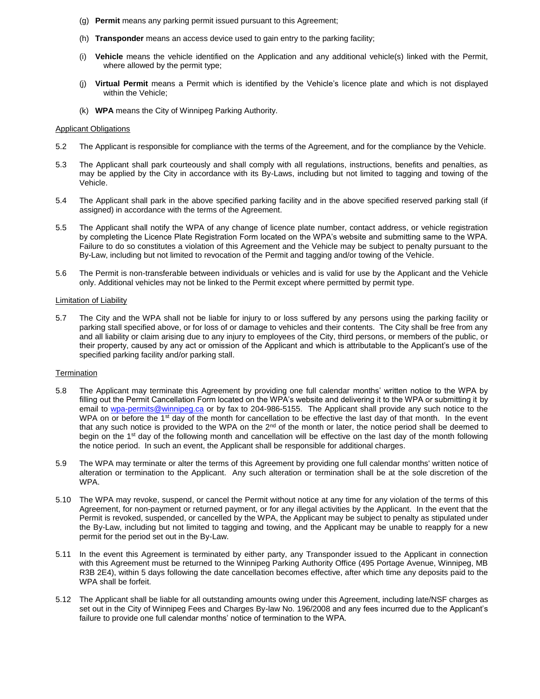- (g) **Permit** means any parking permit issued pursuant to this Agreement;
- (h) **Transponder** means an access device used to gain entry to the parking facility;
- (i) **Vehicle** means the vehicle identified on the Application and any additional vehicle(s) linked with the Permit, where allowed by the permit type;
- (j) **Virtual Permit** means a Permit which is identified by the Vehicle's licence plate and which is not displayed within the Vehicle;
- (k) **WPA** means the City of Winnipeg Parking Authority.

#### Applicant Obligations

- 5.2 The Applicant is responsible for compliance with the terms of the Agreement, and for the compliance by the Vehicle.
- 5.3 The Applicant shall park courteously and shall comply with all regulations, instructions, benefits and penalties, as may be applied by the City in accordance with its By-Laws, including but not limited to tagging and towing of the Vehicle.
- 5.4 The Applicant shall park in the above specified parking facility and in the above specified reserved parking stall (if assigned) in accordance with the terms of the Agreement.
- 5.5 The Applicant shall notify the WPA of any change of licence plate number, contact address, or vehicle registration by completing the Licence Plate Registration Form located on the WPA's website and submitting same to the WPA. Failure to do so constitutes a violation of this Agreement and the Vehicle may be subject to penalty pursuant to the By-Law, including but not limited to revocation of the Permit and tagging and/or towing of the Vehicle.
- 5.6 The Permit is non-transferable between individuals or vehicles and is valid for use by the Applicant and the Vehicle only. Additional vehicles may not be linked to the Permit except where permitted by permit type.

#### Limitation of Liability

5.7 The City and the WPA shall not be liable for injury to or loss suffered by any persons using the parking facility or parking stall specified above, or for loss of or damage to vehicles and their contents. The City shall be free from any and all liability or claim arising due to any injury to employees of the City, third persons, or members of the public, or their property, caused by any act or omission of the Applicant and which is attributable to the Applicant's use of the specified parking facility and/or parking stall.

#### **Termination**

- 5.8 The Applicant may terminate this Agreement by providing one full calendar months' written notice to the WPA by filling out the Permit Cancellation Form located on the WPA's website and delivering it to the WPA or submitting it by email to [wpa-permits@winnipeg.ca](mailto:wpa-permits@winnipeg.ca) or by fax to 204-986-5155. The Applicant shall provide any such notice to the WPA on or before the 1<sup>st</sup> day of the month for cancellation to be effective the last day of that month. In the event that any such notice is provided to the WPA on the 2<sup>nd</sup> of the month or later, the notice period shall be deemed to begin on the 1<sup>st</sup> day of the following month and cancellation will be effective on the last day of the month following the notice period. In such an event, the Applicant shall be responsible for additional charges.
- 5.9 The WPA may terminate or alter the terms of this Agreement by providing one full calendar months' written notice of alteration or termination to the Applicant. Any such alteration or termination shall be at the sole discretion of the WPA.
- 5.10 The WPA may revoke, suspend, or cancel the Permit without notice at any time for any violation of the terms of this Agreement, for non-payment or returned payment, or for any illegal activities by the Applicant. In the event that the Permit is revoked, suspended, or cancelled by the WPA, the Applicant may be subject to penalty as stipulated under the By-Law, including but not limited to tagging and towing, and the Applicant may be unable to reapply for a new permit for the period set out in the By-Law.
- 5.11 In the event this Agreement is terminated by either party, any Transponder issued to the Applicant in connection with this Agreement must be returned to the Winnipeg Parking Authority Office (495 Portage Avenue, Winnipeg, MB R3B 2E4), within 5 days following the date cancellation becomes effective, after which time any deposits paid to the WPA shall be forfeit.
- 5.12 The Applicant shall be liable for all outstanding amounts owing under this Agreement, including late/NSF charges as set out in the City of Winnipeg Fees and Charges By-law No. 196/2008 and any fees incurred due to the Applicant's failure to provide one full calendar months' notice of termination to the WPA.